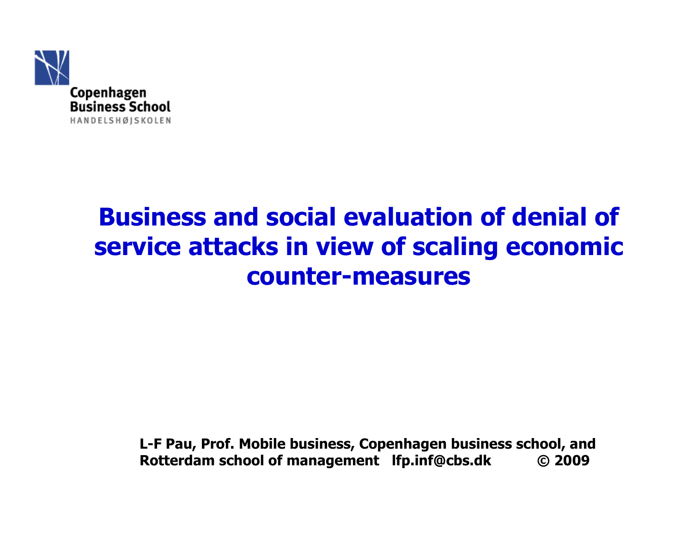

### Business and social evaluation of denial of service attacks in view of scaling economic counter-measures

L-F Pau, Prof. Mobile business, Copenhagen business school, and Rotterdam school of management lfp.inf@cbs.dk C 2009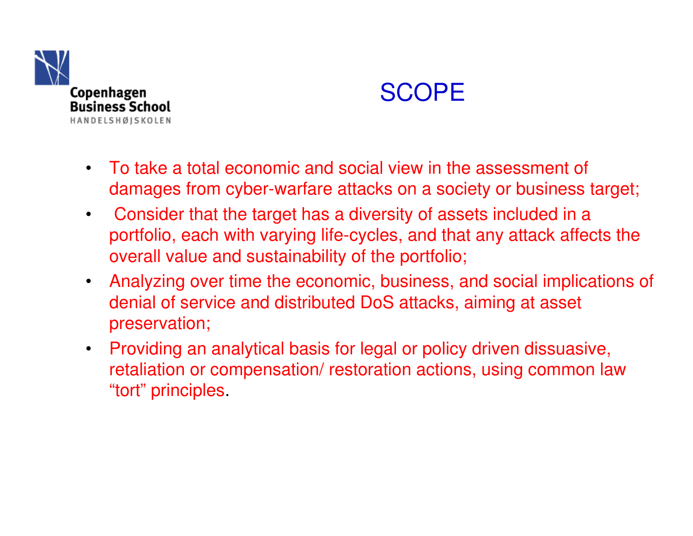



- To take a total economic and social view in the assessment of damages from cyber-warfare attacks on a society or business target;
- $\bullet$  Consider that the target has a diversity of assets included in a portfolio, each with varying life-cycles, and that any attack affects the overall value and sustainability of the portfolio;
- Analyzing over time the economic, business, and social implications of denial of service and distributed DoS attacks, aiming at asset preservation;
- Providing an analytical basis for legal or policy driven dissuasive, retaliation or compensation/ restoration actions, using common law "tort" principles.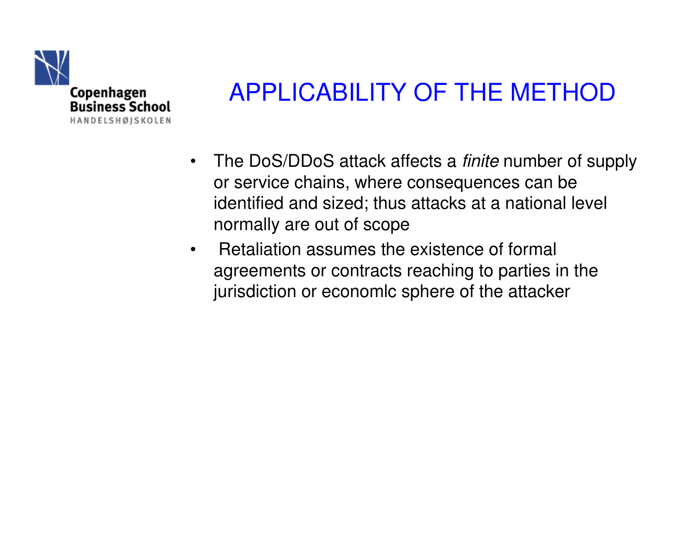

## APPLICABILITY OF THE METHOD

- $\bullet$ The DoS/DDoS attack affects a *finite* number of supply or service chains, where consequences can be identified and sized; thus attacks at a national level normally are out of scope
- • Retaliation assumes the existence of formal agreements or contracts reaching to parties in the jurisdiction or economlc sphere of the attacker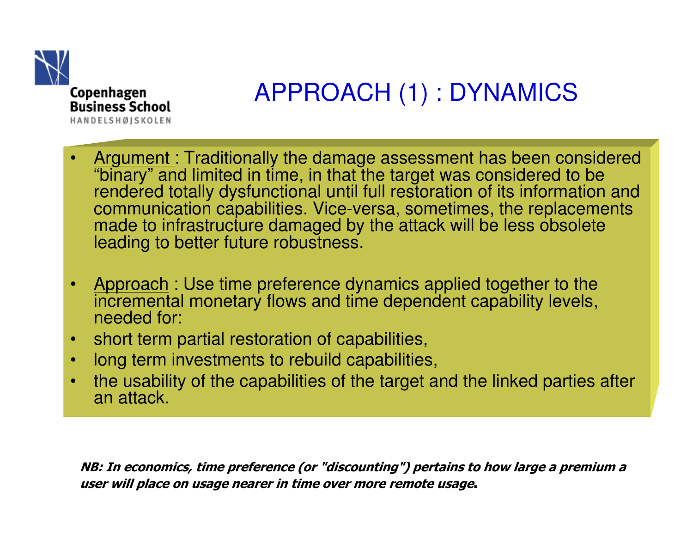

# APPROACH (1) : DYNAMICS

- •Argument: Traditionally the damage assessment has been considered "binary" and limited in time, in that the target was considered to be rendered totally dysfunctional until full restoration of its information and communication capabilities. Vice-versa, sometimes, the replacements made to infrastructure damaged by the attack will be less obsolete leading to better future robustness.
- •Approach : Use time preference dynamics applied together to the<br>incremental manaton: flave and time dependent eanshilty loyels incremental monetary flows and time dependent capability levels,needed for:
- •short term partial restoration of capabilities,
- •long term investments to rebuild capabilities,
- • the usability of the capabilities of the target and the linked parties after an attack.

NB: In economics, time preference (or "discounting") pertains to how large a premium a user will place on usage nearer in time over more remote usage.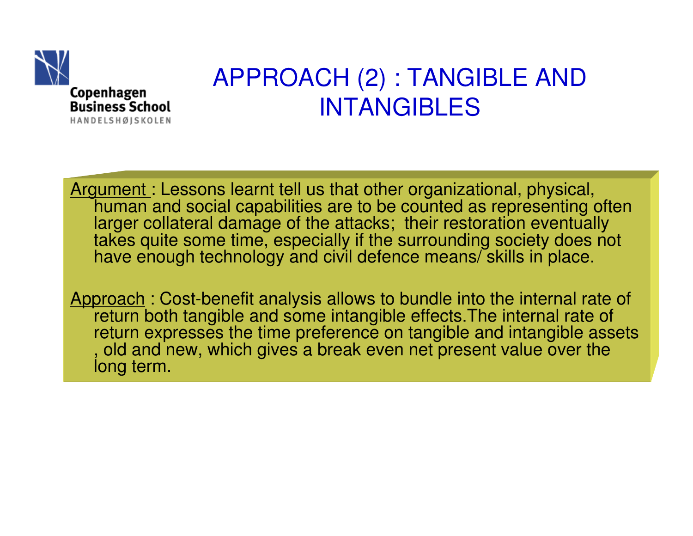

#### APPROACH (2) : TANGIBLE AND INTANGIBLES

Argument : Lessons learnt tell us that other organizational, physical, human and social capabilities are to be counted as representing often larger collateral damage of the attacks; their restoration eventually takes quite some time, especially if the surrounding society does not have enough technology and civil defence means/ skills in place.

Approach: Cost-benefit analysis allows to bundle into the internal rate of return both tangible and some intangible effects.The internal rate of return expresses the time preference on tangible and intangible assets , old and new, which gives a break even net present value over the long term.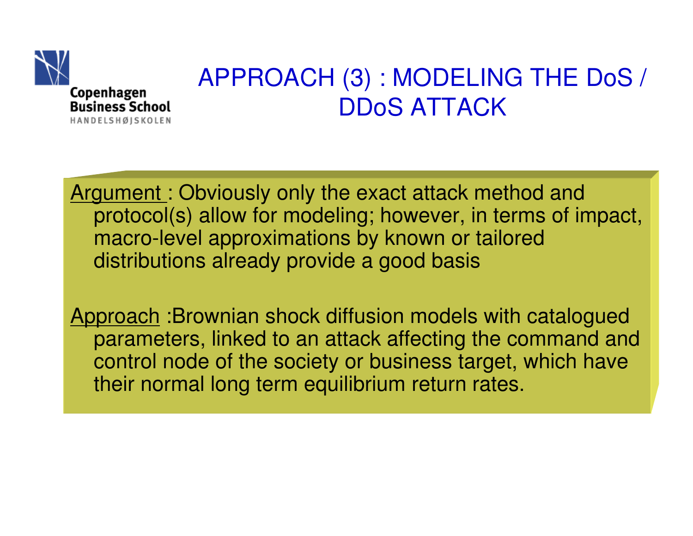

#### APPROACH (3) : MODELING THE DoS / DDoS ATTACK

Argument: Obviously only the exact attack method and protocol(s) allow for modeling; however, in terms of impact, macro-level approximations by known or tailored distributions already provide a good basis

Approach : Brownian shock diffusion models with catalogued parameters, linked to an attack affecting the command and control node of the society or business target, which have their normal long term equilibrium return rates.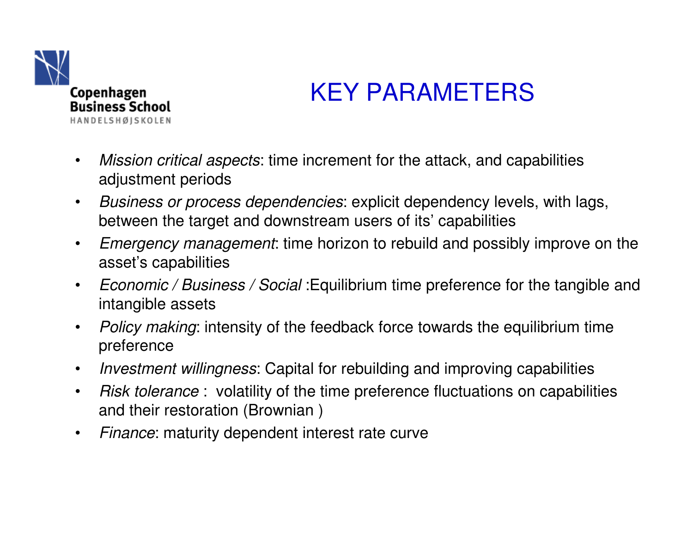

## KEY PARAMETERS

- $\bullet$ Mission critical aspects: time increment for the attack, and capabilities adjustment periods
- $\bullet$  Business or process dependencies: explicit dependency levels, with lags, between the target and downstream users of its' capabilities
- $\bullet$  Emergency management: time horizon to rebuild and possibly improve on the asset's capabilities
- $\bullet$ Economic / Business / Social : Equilibrium time preference for the tangible and intangible assets
- $\bullet$ Policy making: intensity of the feedback force towards the equilibrium time preference
- $\bullet$ Investment willingness: Capital for rebuilding and improving capabilities
- $\bullet$ • Risk tolerance : volatility of the time preference fluctuations on capabilities and their restoration (Brownian )
- $\bullet$ Finance: maturity dependent interest rate curve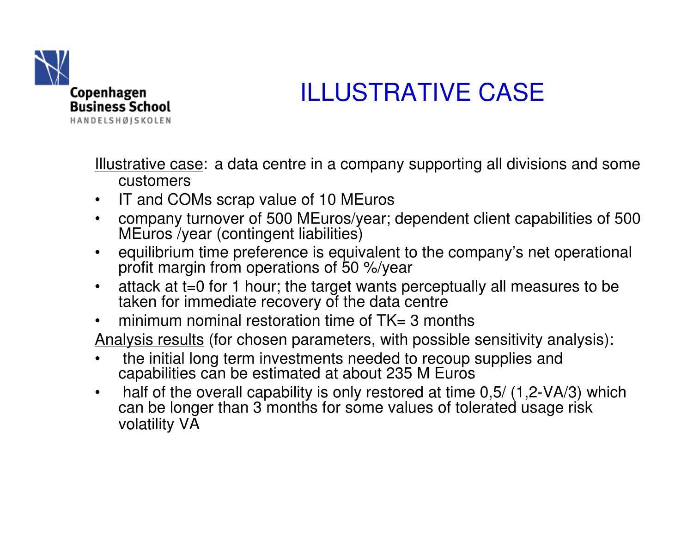

# ILLUSTRATIVE CASE

Illustrative case: a data centre in a company supporting all divisions and some customers

- IT and COMs scrap value of 10 MEuros $\bullet$
- company turnover of 500 MEuros/year; dependent client capabilities of 500  $\bullet$ MEuros /year (contingent liabilities)
- equilibrium time preference is equivalent to the company's net operational  $\bullet$ profit margin from operations of 50 %/year
- attack at t=0 for 1 hour; the target wants perceptually all measures to be  $\bullet$ taken for immediate recovery of the data centre
- $\bullet$ minimum nominal restoration time of  $TK = 3$  months
- Analysis results (for chosen parameters, with possible sensitivity analysis):
- $\bullet$  the initial long term investments needed to recoup supplies and capabilities can be estimated at about 235 M Euros
- half of the overall capability is only restored at time 0,5/ (1,2-VA/3) which  $\bullet$ can be longer than 3 months for some values of tolerated usage risk volatility VA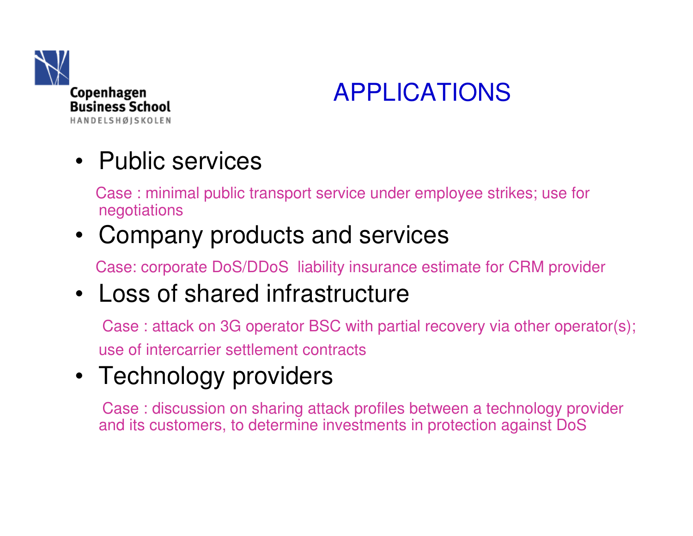

## APPLICATIONS

## • Public services

Case : minimal public transport service under employee strikes; use for negotiations

#### • Company products and services

Case: corporate DoS/DDoS liability insurance estimate for CRM provider

## • Loss of shared infrastructure

Case : attack on 3G operator BSC with partial recovery via other operator(s); use of intercarrier settlement contracts

## • Technology providers

Case : discussion on sharing attack profiles between a technology provider and its customers, to determine investments in protection against DoS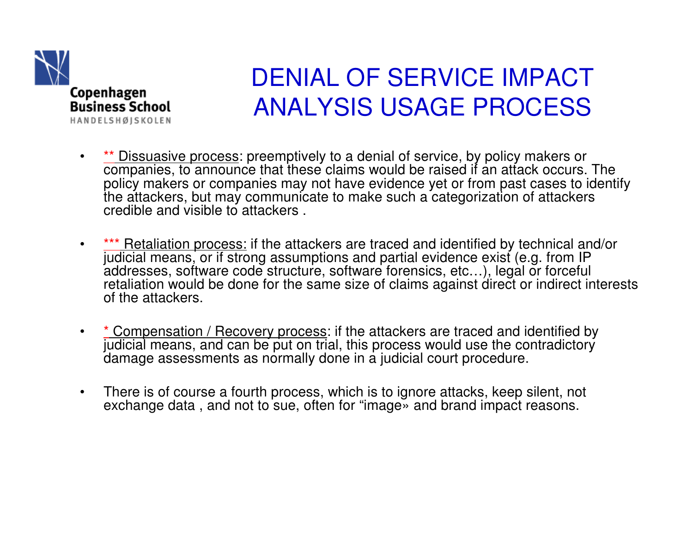

#### DENIAL OF SERVICE IMPACT ANALYSIS USAGE PROCESS

- •• **\*\*** Dissuasive process: preemptively to a denial of service, by policy makers or companies, to announce that these claims would be raised if an attack occurs. The policy makers or companies may not have evidence yet or from past cases to identify the attackers, but may communicate to make such a categorization of attackers credible and visible to attackers .
- •• **\*\*\*** Retaliation process: if the attackers are traced and identified by technical and/or judicial means, or if strong assumptions and partial evidence exist (e.g. from IP addresses, software code structure, software forensics, etc…), legal or forceful retaliation would be done for the same size of claims against direct or indirect interests of the attackers.
- •• <u>\* Compensation / Recovery process</u>: if the attackers are traced and identified by judicial means, and can be put on trial, this process would use the contradictory damage assessments as normally done in a judicial court procedure.
- • There is of course a fourth process, which is to ignore attacks, keep silent, not exchange data, and not to sue, often for "image» and brand impact reasons.